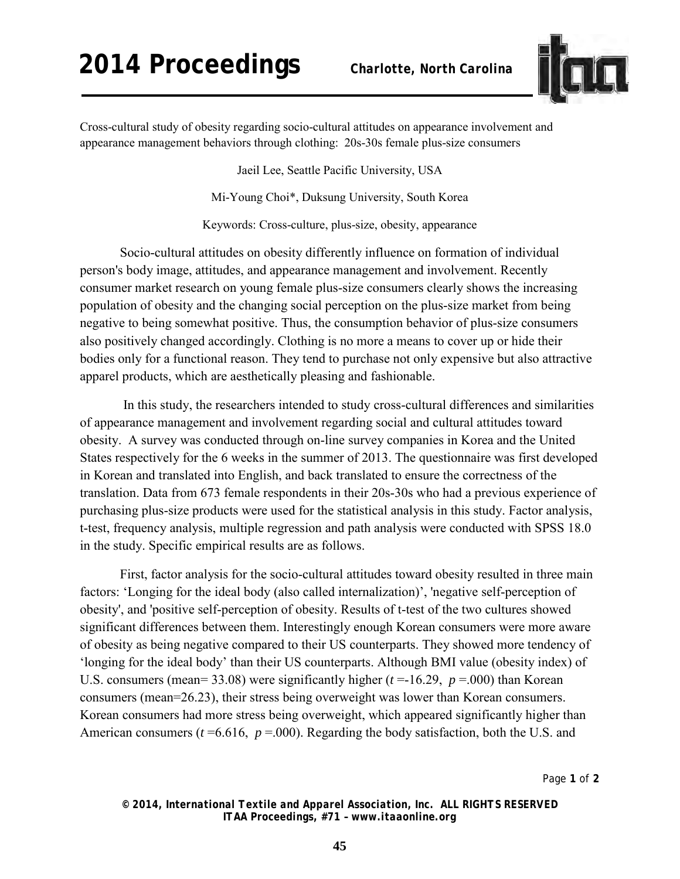## **2014 Proceedings** *Charlotte, North Carolina*



Cross-cultural study of obesity regarding socio-cultural attitudes on appearance involvement and appearance management behaviors through clothing: 20s-30s female plus-size consumers

Jaeil Lee, Seattle Pacific University, USA

Mi-Young Choi\*, Duksung University, South Korea

Keywords: Cross-culture, plus-size, obesity, appearance

Socio-cultural attitudes on obesity differently influence on formation of individual person's body image, attitudes, and appearance management and involvement. Recently consumer market research on young female plus-size consumers clearly shows the increasing population of obesity and the changing social perception on the plus-size market from being negative to being somewhat positive. Thus, the consumption behavior of plus-size consumers also positively changed accordingly. Clothing is no more a means to cover up or hide their bodies only for a functional reason. They tend to purchase not only expensive but also attractive apparel products, which are aesthetically pleasing and fashionable.

 In this study, the researchers intended to study cross-cultural differences and similarities of appearance management and involvement regarding social and cultural attitudes toward obesity. A survey was conducted through on-line survey companies in Korea and the United States respectively for the 6 weeks in the summer of 2013. The questionnaire was first developed in Korean and translated into English, and back translated to ensure the correctness of the translation. Data from 673 female respondents in their 20s-30s who had a previous experience of purchasing plus-size products were used for the statistical analysis in this study. Factor analysis, t-test, frequency analysis, multiple regression and path analysis were conducted with SPSS 18.0 in the study. Specific empirical results are as follows.

First, factor analysis for the socio-cultural attitudes toward obesity resulted in three main factors: 'Longing for the ideal body (also called internalization)', 'negative self-perception of obesity', and 'positive self-perception of obesity. Results of t-test of the two cultures showed significant differences between them. Interestingly enough Korean consumers were more aware of obesity as being negative compared to their US counterparts. They showed more tendency of 'longing for the ideal body' than their US counterparts. Although BMI value (obesity index) of U.S. consumers (mean= 33.08) were significantly higher ( $t = -16.29$ ,  $p = .000$ ) than Korean consumers (mean=26.23), their stress being overweight was lower than Korean consumers. Korean consumers had more stress being overweight, which appeared significantly higher than American consumers ( $t = 6.616$ ,  $p = .000$ ). Regarding the body satisfaction, both the U.S. and

Page **1** of **2** 

*© 2014, International Textile and Apparel Association, Inc. ALL RIGHTS RESERVED ITAA Proceedings, #71 – www.itaaonline.org*